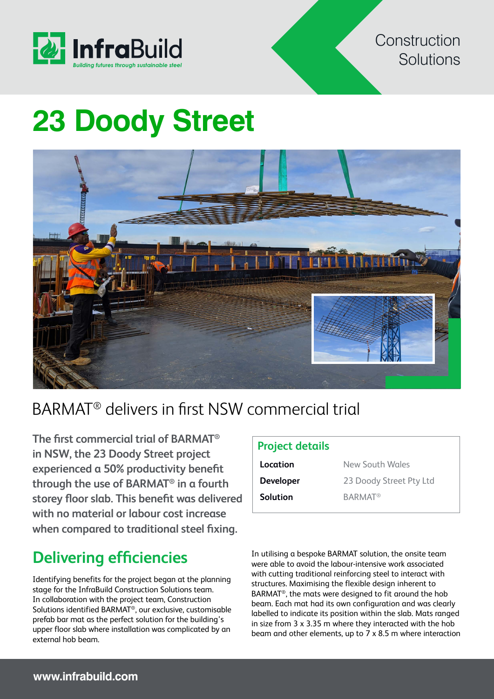

#### **Construction** Solutions

# **23 Doody Street**



## BARMAT® delivers in first NSW commercial trial

**The first commercial trial of BARMAT® in NSW, the 23 Doody Street project experienced a 50% productivity benefit through the use of BARMAT® in a fourth storey floor slab. This benefit was delivered with no material or labour cost increase when compared to traditional steel fixing.**

### **Delivering efficiencies**

Identifying benefits for the project began at the planning stage for the InfraBuild Construction Solutions team. In collaboration with the project team, Construction Solutions identified BARMAT®, our exclusive, customisable prefab bar mat as the perfect solution for the building's upper floor slab where installation was complicated by an external hob beam.

#### **Project details**

| Location         | New South Wales           |
|------------------|---------------------------|
| <b>Developer</b> | 23 Doody Street Pty Ltd   |
| <b>Solution</b>  | <b>BARMAT<sup>®</sup></b> |

In utilising a bespoke BARMAT solution, the onsite team were able to avoid the labour-intensive work associated with cutting traditional reinforcing steel to interact with structures. Maximising the flexible design inherent to BARMAT®, the mats were designed to fit around the hob beam. Each mat had its own configuration and was clearly labelled to indicate its position within the slab. Mats ranged in size from 3 x 3.35 m where they interacted with the hob beam and other elements, up to 7 x 8.5 m where interaction